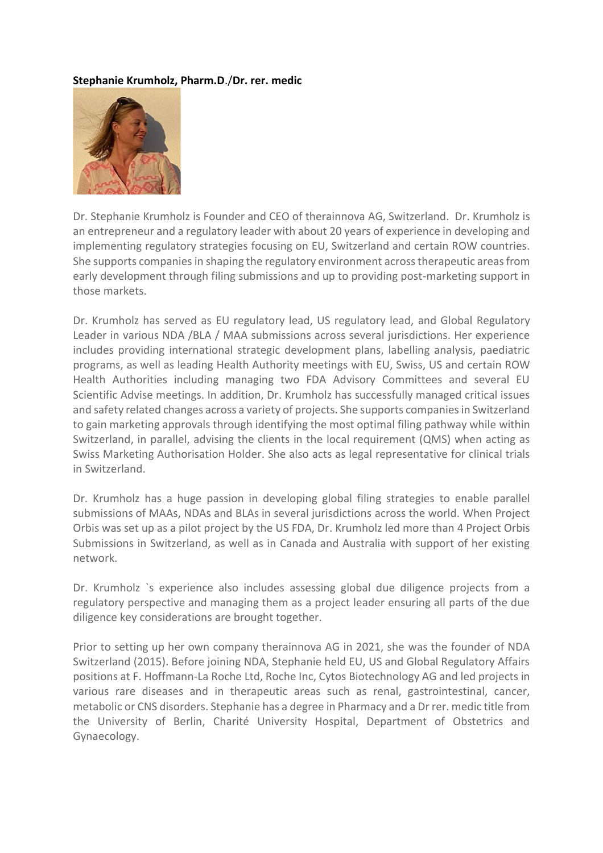## **Stephanie Krumholz, Pharm.D**./**Dr. rer. medic**



Dr. Stephanie Krumholz is Founder and CEO of therainnova AG, Switzerland. Dr. Krumholz is an entrepreneur and a regulatory leader with about 20 years of experience in developing and implementing regulatory strategies focusing on EU, Switzerland and certain ROW countries. She supports companies in shaping the regulatory environment across therapeutic areas from early development through filing submissions and up to providing post-marketing support in those markets.

Dr. Krumholz has served as EU regulatory lead, US regulatory lead, and Global Regulatory Leader in various NDA /BLA / MAA submissions across several jurisdictions. Her experience includes providing international strategic development plans, labelling analysis, paediatric programs, as well as leading Health Authority meetings with EU, Swiss, US and certain ROW Health Authorities including managing two FDA Advisory Committees and several EU Scientific Advise meetings. In addition, Dr. Krumholz has successfully managed critical issues and safety related changes across a variety of projects. She supports companies in Switzerland to gain marketing approvals through identifying the most optimal filing pathway while within Switzerland, in parallel, advising the clients in the local requirement (QMS) when acting as Swiss Marketing Authorisation Holder. She also acts as legal representative for clinical trials in Switzerland.

Dr. Krumholz has a huge passion in developing global filing strategies to enable parallel submissions of MAAs, NDAs and BLAs in several jurisdictions across the world. When Project Orbis was set up as a pilot project by the US FDA, Dr. Krumholz led more than 4 Project Orbis Submissions in Switzerland, as well as in Canada and Australia with support of her existing network.

Dr. Krumholz `s experience also includes assessing global due diligence projects from a regulatory perspective and managing them as a project leader ensuring all parts of the due diligence key considerations are brought together.

Prior to setting up her own company therainnova AG in 2021, she was the founder of NDA Switzerland (2015). Before joining NDA, Stephanie held EU, US and Global Regulatory Affairs positions at F. Hoffmann-La Roche Ltd, Roche Inc, Cytos Biotechnology AG and led projects in various rare diseases and in therapeutic areas such as renal, gastrointestinal, cancer, metabolic or CNS disorders. Stephanie has a degree in Pharmacy and a Dr rer. medic title from the University of Berlin, Charité University Hospital, Department of Obstetrics and Gynaecology.